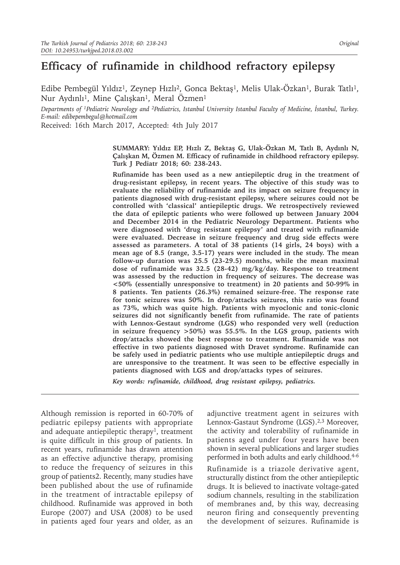# **Efficacy of rufinamide in childhood refractory epilepsy**

Edibe Pembegül Yıldız<sup>1</sup>, Zeynep Hızlı<sup>2</sup>, Gonca Bektaş<sup>1</sup>, Melis Ulak-Özkan<sup>1</sup>, Burak Tatlı<sup>1</sup>, Nur Aydınlı<sup>1</sup>, Mine Çalışkan<sup>1</sup>, Meral Özmen<sup>1</sup>

*Departments of 1Pediatric Neurology and 2Pediatrics, Istanbul University Istanbul Faculty of Medicine, İstanbul, Turkey. E-mail: edibepembegul@hotmail.com* 

Received: 16th March 2017, Accepted: 4th July 2017

**SUMMARY: Yıldız EP, Hızlı Z, Bektaş G, Ulak-Özkan M, Tatlı B, Aydınlı N, Çalışkan M, Özmen M. Efficacy of rufinamide in childhood refractory epilepsy. Turk J Pediatr 2018; 60: 238-243.**

**Rufinamide has been used as a new antiepileptic drug in the treatment of drug-resistant epilepsy, in recent years. The objective of this study was to evaluate the reliability of rufinamide and its impact on seizure frequency in patients diagnosed with drug-resistant epilepsy, where seizures could not be controlled with 'classical' antiepileptic drugs. We retrospectively reviewed the data of epileptic patients who were followed up between January 2004 and December 2014 in the Pediatric Neurology Department. Patients who were diagnosed with 'drug resistant epilepsy' and treated with rufinamide were evaluated. Decrease in seizure frequency and drug side effects were assessed as parameters. A total of 38 patients (14 girls, 24 boys) with a mean age of 8.5 (range, 3.5-17) years were included in the study. The mean follow-up duration was 25.5 (23-29.5) months, while the mean maximal dose of rufinamide was 32.5 (28-42) mg/kg/day. Response to treatment was assessed by the reduction in frequency of seizures. The decrease was <50% (essentially unresponsive to treatment) in 20 patients and 50-99% in 8 patients. Ten patients (26.3%) remained seizure-free. The response rate for tonic seizures was 50%. In drop/attacks seizures, this ratio was found as 73%, which was quite high. Patients with myoclonic and tonic-clonic seizures did not significantly benefit from rufinamide. The rate of patients with Lennox-Gestaut syndrome (LGS) who responded very well (reduction in seizure frequency >50%) was 55.5%. In the LGS group, patients with drop/attacks showed the best response to treatment. Rufinamide was not effective in two patients diagnosed with Dravet syndrome. Rufinamide can be safely used in pediatric patients who use multiple antiepileptic drugs and are unresponsive to the treatment. It was seen to be effective especially in patients diagnosed with LGS and drop/attacks types of seizures.**

*Key words: rufinamide, childhood, drug resistant epilepsy, pediatrics.*

Although remission is reported in 60-70% of pediatric epilepsy patients with appropriate and adequate antiepileptic therapy<sup>1</sup>, treatment is quite difficult in this group of patients. In recent years, rufinamide has drawn attention as an effective adjunctive therapy, promising to reduce the frequency of seizures in this group of patients2. Recently, many studies have been published about the use of rufinamide in the treatment of intractable epilepsy of childhood. Rufinamide was approved in both Europe (2007) and USA (2008) to be used in patients aged four years and older, as an adjunctive treatment agent in seizures with Lennox-Gastaut Syndrome (LGS).<sup>2,3</sup> Moreover, the activity and tolerability of rufinamide in patients aged under four years have been shown in several publications and larger studies performed in both adults and early childhood.4-6

Rufinamide is a triazole derivative agent, structurally distinct from the other antiepileptic drugs. It is believed to inactivate voltage-gated sodium channels, resulting in the stabilization of membranes and, by this way, decreasing neuron firing and consequently preventing the development of seizures. Rufinamide is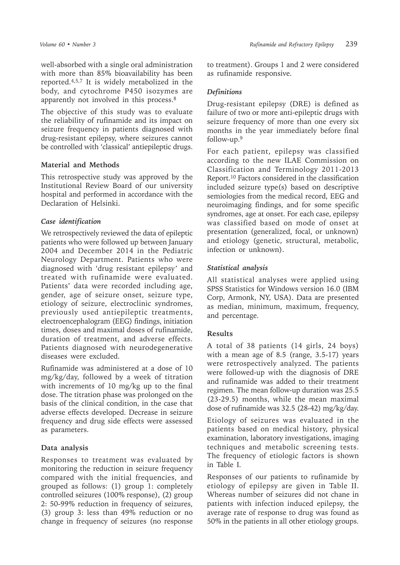well-absorbed with a single oral administration with more than 85% bioavailability has been reported.4,5,7 It is widely metabolized in the body, and cytochrome P450 isozymes are apparently not involved in this process.8

The objective of this study was to evaluate the reliability of rufinamide and its impact on seizure frequency in patients diagnosed with drug-resistant epilepsy, where seizures cannot be controlled with 'classical' antiepileptic drugs.

## **Material and Methods**

This retrospective study was approved by the Institutional Review Board of our university hospital and performed in accordance with the Declaration of Helsinki.

## *Case identification*

We retrospectively reviewed the data of epileptic patients who were followed up between January 2004 and December 2014 in the Pediatric Neurology Department. Patients who were diagnosed with 'drug resistant epilepsy' and treated with rufinamide were evaluated. Patients' data were recorded including age, gender, age of seizure onset, seizure type, etiology of seizure, electroclinic syndromes, previously used antiepileptic treatments, electroencephalogram (EEG) findings, initiation times, doses and maximal doses of rufinamide, duration of treatment, and adverse effects. Patients diagnosed with neurodegenerative diseases were excluded.

Rufinamide was administered at a dose of 10 mg/kg/day, followed by a week of titration with increments of 10 mg/kg up to the final dose. The titration phase was prolonged on the basis of the clinical condition, in the case that adverse effects developed. Decrease in seizure frequency and drug side effects were assessed as parameters.

#### **Data analysis**

Responses to treatment was evaluated by monitoring the reduction in seizure frequency compared with the initial frequencies, and grouped as follows: (1) group 1: completely controlled seizures (100% response), (2) group 2: 50-99% reduction in frequency of seizures, (3) group 3: less than 49% reduction or no change in frequency of seizures (no response

to treatment). Groups 1 and 2 were considered as rufinamide responsive.

## *Definitions*

Drug-resistant epilepsy (DRE) is defined as failure of two or more anti-epileptic drugs with seizure frequency of more than one every six months in the year immediately before final follow-up.9

For each patient, epilepsy was classified according to the new ILAE Commission on Classification and Terminology 2011-2013 Report.<sup>10</sup> Factors considered in the classification included seizure type(s) based on descriptive semiologies from the medical record, EEG and neuroimaging findings, and for some specific syndromes, age at onset. For each case, epilepsy was classified based on mode of onset at presentation (generalized, focal, or unknown) and etiology (genetic, structural, metabolic, infection or unknown).

## *Statistical analysis*

All statistical analyses were applied using SPSS Statistics for Windows version 16.0 (IBM Corp, Armonk, NY, USA). Data are presented as median, minimum, maximum, frequency, and percentage.

#### **Results**

A total of 38 patients (14 girls, 24 boys) with a mean age of 8.5 (range, 3.5-17) years were retrospectively analyzed. The patients were followed-up with the diagnosis of DRE and rufinamide was added to their treatment regimen. The mean follow-up duration was 25.5 (23-29.5) months, while the mean maximal dose of rufinamide was 32.5 (28-42) mg/kg/day.

Etiology of seizures was evaluated in the patients based on medical history, physical examination, laboratory investigations, imaging techniques and metabolic screening tests. The frequency of etiologic factors is shown in Table I.

Responses of our patients to rufinamide by etiology of epilepsy are given in Table II. Whereas number of seizures did not chane in patients with infection induced epilepsy, the average rate of response to drug was found as 50% in the patients in all other etiology groups.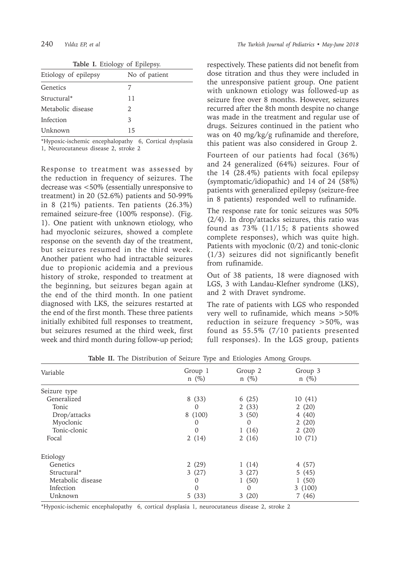| <b>Table I.</b> Etiology of Epilepsy. |               |  |
|---------------------------------------|---------------|--|
| Etiology of epilepsy                  | No of patient |  |
| Genetics                              |               |  |
| Structural*                           | 11            |  |
| Metabolic disease                     | 2             |  |
| Infection                             | 3             |  |
| Unknown                               | 15            |  |

\*Hypoxic-ischemic encephalopathy 6, Cortical dysplasia 1, Neurocutaneus disease 2, stroke 2

Response to treatment was assessed by the reduction in frequency of seizures. The decrease was <50% (essentially unresponsive to treatment) in 20  $(52.6\%)$  patients and 50-99% in 8 (21%) patients. Ten patients (26.3%) remained seizure-free (100% response). (Fig. 1). One patient with unknown etiology, who had myoclonic seizures, showed a complete response on the seventh day of the treatment, but seizures resumed in the third week. Another patient who had intractable seizures due to propionic acidemia and a previous history of stroke, responded to treatment at the beginning, but seizures began again at the end of the third month. In one patient diagnosed with LKS, the seizures restarted at the end of the first month. These three patients initially exhibited full responses to treatment, but seizures resumed at the third week, first week and third month during follow-up period;

respectively. These patients did not benefit from dose titration and thus they were included in the unresponsive patient group. One patient with unknown etiology was followed-up as seizure free over 8 months. However, seizures recurred after the 8th month despite no change was made in the treatment and regular use of drugs. Seizures continued in the patient who was on 40 mg/kg/g rufinamide and therefore, this patient was also considered in Group 2.

Fourteen of our patients had focal (36%) and 24 generalized (64%) seizures. Four of the 14 (28.4%) patients with focal epilepsy (symptomatic/idiopathic) and 14 of 24 (58%) patients with generalized epilepsy (seizure-free in 8 patients) responded well to rufinamide.

The response rate for tonic seizures was 50% (2/4). In drop/attacks seizures, this ratio was found as 73% (11/15; 8 patients showed complete responses), which was quite high. Patients with myoclonic (0/2) and tonic-clonic (1/3) seizures did not significantly benefit from rufinamide.

Out of 38 patients, 18 were diagnosed with LGS, 3 with Landau-Klefner syndrome (LKS), and 2 with Dravet syndrome.

The rate of patients with LGS who responded very well to rufinamide, which means >50% reduction in seizure frequency >50%, was found as 55.5% (7/10 patients presented full responses). In the LGS group, patients

| Variable          | Group 1<br>$n \ (\%)$ | Group 2<br>$n \ (\%)$ | Group 3<br>$n \ (\%)$ |  |
|-------------------|-----------------------|-----------------------|-----------------------|--|
|                   |                       |                       |                       |  |
| Seizure type      |                       |                       |                       |  |
| Generalized       | 8(33)                 | 6(25)                 | 10(41)                |  |
| Tonic             | $\Omega$              | 2(33)                 | 2(20)                 |  |
| Drop/attacks      | 8 (100)               | 3(50)                 | 4(40)                 |  |
| Myoclonic         | 0                     | $\Omega$              | 2(20)                 |  |
| Tonic-clonic      | $\Omega$              | 1(16)                 | 2(20)                 |  |
| Focal             | 2(14)                 | 2(16)                 | 10(71)                |  |
| Etiology          |                       |                       |                       |  |
| Genetics          | 2(29)                 | 1(14)                 | 4(57)                 |  |
| Structural*       | 3(27)                 | 3(27)                 | 5(45)                 |  |
| Metabolic disease | $\Omega$              | 1(50)                 | 1(50)                 |  |
| Infection         | 0                     | $\Omega$              | 3(100)                |  |
| Unknown           | 5(33)                 | 3(20)                 | 7(46)                 |  |

**Table II.** The Distribution of Seizure Type and Etiologies Among Groups.

\*Hypoxic-ischemic encephalopathy 6, cortical dysplasia 1, neurocutaneus disease 2, stroke 2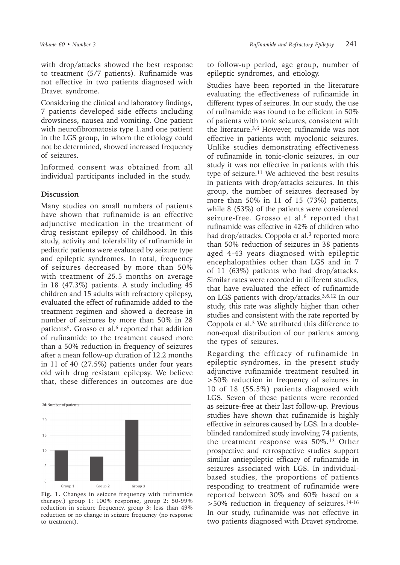with drop/attacks showed the best response to treatment (5/7 patients). Rufinamide was not effective in two patients diagnosed with Dravet syndrome.

Considering the clinical and laboratory findings, 7 patients developed side effects including drowsiness, nausea and vomiting. One patient with neurofibromatosis type 1.and one patient in the LGS group, in whom the etiology could not be determined, showed increased frequency of seizures.

Informed consent was obtained from all individual participants included in the study.

#### **Discussion**

Many studies on small numbers of patients have shown that rufinamide is an effective adjunctive medication in the treatment of drug resistant epilepsy of childhood. In this study, activity and tolerability of rufinamide in pediatric patients were evaluated by seizure type and epileptic syndromes. In total, frequency of seizures decreased by more than 50% with treatment of 25.5 months on average in 18 (47.3%) patients. A study including 45 children and 15 adults with refractory epilepsy, evaluated the effect of rufinamide added to the treatment regimen and showed a decrease in number of seizures by more than 50% in 28 patients<sup>5</sup>. Grosso et al.<sup>6</sup> reported that addition of rufinamide to the treatment caused more than a 50% reduction in frequency of seizures after a mean follow-up duration of 12.2 months in 11 of 40 (27.5%) patients under four years old with drug resistant epilepsy. We believe that, these differences in outcomes are due



**Fig. 1.** Changes in seizure frequency with rufinamide therapy.) group 1: 100% response, group 2: 50-99% reduction in seizure frequency, group 3: less than 49% reduction or no change in seizure frequency (no response to treatment).

to follow-up period, age group, number of epileptic syndromes, and etiology.

Studies have been reported in the literature evaluating the effectiveness of rufinamide in different types of seizures. In our study, the use of rufinamide was found to be efficient in 50% of patients with tonic seizures, consistent with the literature.3,6 However, rufinamide was not effective in patients with myoclonic seizures. Unlike studies demonstrating effectiveness of rufinamide in tonic-clonic seizures, in our study it was not effective in patients with this type of seizure.<sup>11</sup> We achieved the best results in patients with drop/attacks seizures. In this group, the number of seizures decreased by more than 50% in 11 of 15 (73%) patients, while 8 (53%) of the patients were considered seizure-free. Grosso et al.<sup>6</sup> reported that rufinamide was effective in 42% of children who had drop/attacks. Coppola et al.<sup>3</sup> reported more than 50% reduction of seizures in 38 patients aged 4-43 years diagnosed with epileptic encephalopathies other than LGS and in 7 of 11 (63%) patients who had drop/attacks. Similar rates were recorded in different studies, that have evaluated the effect of rufinamide on LGS patients with drop/attacks.3,6,12 In our study, this rate was slightly higher than other studies and consistent with the rate reported by Coppola et al.<sup>3</sup> We attributed this difference to non-equal distribution of our patients among the types of seizures.

Regarding the efficacy of rufinamide in epileptic syndromes, in the present study adjunctive rufinamide treatment resulted in >50% reduction in frequency of seizures in 10 of 18 (55.5%) patients diagnosed with LGS. Seven of these patients were recorded as seizure-free at their last follow-up. Previous studies have shown that rufinamide is highly effective in seizures caused by LGS. In a doubleblinded randomized study involving 74 patients, the treatment response was  $50\%$ .<sup>13</sup> Other prospective and retrospective studies support similar antiepileptic efficacy of rufinamide in seizures associated with LGS. In individualbased studies, the proportions of patients responding to treatment of rufinamide were reported between 30% and 60% based on a >50% reduction in frequency of seizures.14-16 In our study, rufinamide was not effective in two patients diagnosed with Dravet syndrome.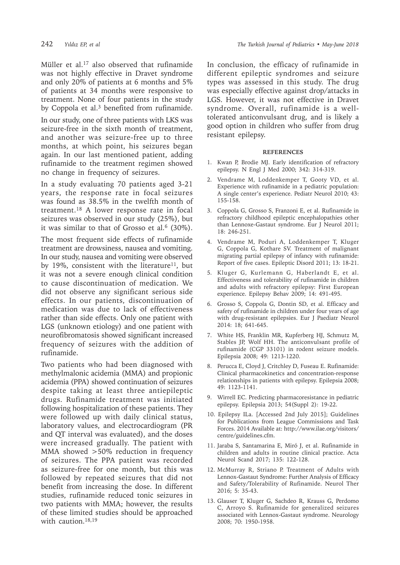Müller et al.<sup>17</sup> also observed that rufinamide was not highly effective in Dravet syndrome and only 20% of patients at 6 months and 5% of patients at 34 months were responsive to treatment. None of four patients in the study by Coppola et al.<sup>3</sup> benefited from rufinamide.

In our study, one of three patients with LKS was seizure-free in the sixth month of treatment, and another was seizure-free up to three months, at which point, his seizures began again. In our last mentioned patient, adding rufinamide to the treatment regimen showed no change in frequency of seizures.

In a study evaluating 70 patients aged 3-21 years, the response rate in focal seizures was found as 38.5% in the twelfth month of treatment.18 A lower response rate in focal seizures was observed in our study (25%), but it was similar to that of Grosso et al. $6$  (30%).

The most frequent side effects of rufinamide treatment are drowsiness, nausea and vomiting. In our study, nausea and vomiting were observed by 19%, consistent with the literature<sup>11</sup>, but it was not a severe enough clinical condition to cause discontinuation of medication. We did not observe any significant serious side effects. In our patients, discontinuation of medication was due to lack of effectiveness rather than side effects. Only one patient with LGS (unknown etiology) and one patient with neurofibromatosis showed significant increased frequency of seizures with the addition of rufinamide.

Two patients who had been diagnosed with methylmalonic acidemia (MMA) and propionic acidemia (PPA) showed continuation of seizures despite taking at least three antiepileptic drugs. Rufinamide treatment was initiated following hospitalization of these patients. They were followed up with daily clinical status, laboratory values, and electrocardiogram (PR and QT interval was evaluated), and the doses were increased gradually. The patient with MMA showed >50% reduction in frequency of seizures. The PPA patient was recorded as seizure-free for one month, but this was followed by repeated seizures that did not benefit from increasing the dose. In different studies, rufinamide reduced tonic seizures in two patients with MMA; however, the results of these limited studies should be approached with caution.<sup>18,19</sup>

In conclusion, the efficacy of rufinamide in different epileptic syndromes and seizure types was assessed in this study. The drug was especially effective against drop/attacks in LGS. However, it was not effective in Dravet syndrome. Overall, rufinamide is a welltolerated anticonvulsant drug, and is likely a good option in children who suffer from drug resistant epilepsy.

#### **REFERENCES**

- 1. Kwan P, Brodie MJ. Early identification of refractory epilepsy. N Engl J Med 2000; 342: 314-319.
- 2. Vendrame M, Loddenkemper T, Gooty VD, et al. Experience with rufinamide in a pediatric population: A single center's experience. Pediatr Neurol 2010; 43: 155-158.
- 3. Coppola G, Grosso S, Franzoni E, et al. Rufinamide in refractory childhood epileptic encephalopathies other than Lennoxe-Gastaut syndrome. Eur J Neurol 2011; 18: 246-251.
- 4. Vendrame M, Poduri A, Loddenkemper T, Kluger G, Coppola G, Kothare SV. Treatment of malignant migrating partial epilepsy of infancy with rufinamide: Report of five cases. Epileptic Disord 2011; 13: 18-21.
- 5. Kluger G, Kurlemann G, Haberlandt E, et al. Effectiveness and tolerability of rufinamide in children and adults with refractory epilepsy: First European experience. Epilepsy Behav 2009; 14: 491-495.
- 6. Grosso S, Coppola G, Dontin SD, et al. Efficacy and safety of rufinamide in children under four years of age with drug-resistant epilepsies. Eur J Paediatr Neurol 2014: 18; 641-645.
- 7. White HS, Franklin MR, Kupferberg HJ, Schmutz M, Stables JP, Wolf HH. The anticonvulsant profile of rufinamide (CGP 33101) in rodent seizure models. Epilepsia 2008; 49: 1213-1220.
- 8. Perucca E, Cloyd J, Critchley D, Fuseau E. Rufinamide: Clinical pharmacokinetics and concentration-response relationships in patients with epilepsy. Epilepsia 2008; 49: 1123-1141.
- 9. Wirrell EC. Predicting pharmacoresistance in pediatric epilepsy. Epilepsia 2013; 54(Suppl 2): 19-22.
- 10. Epilepsy ILa. [Accessed 2nd July 2015]; Guidelines for Publications from League Commissions and Task Forces. 2014 Available at: http://www.ilae.org/visitors/ centre/guidelines.cfm.
- 11. Jaraba S, Santamarina E, Miró J, et al. Rufinamide in children and adults in routine clinical practice. Acta Neurol Scand 2017; 135: 122-128.
- 12. McMurray R, Striano P. Treatment of Adults with Lennox-Gastaut Syndrome: Further Analysis of Efficacy and Safety/Tolerability of Rufinamide. Neurol Ther 2016; 5: 35-43.
- 13. Glauser T, Kluger G, Sachdeo R, Krauss G, Perdomo C, Arroyo S. Rufinamide for generalized seizures associated with Lennox-Gastaut syndrome. Neurology 2008; 70: 1950-1958.